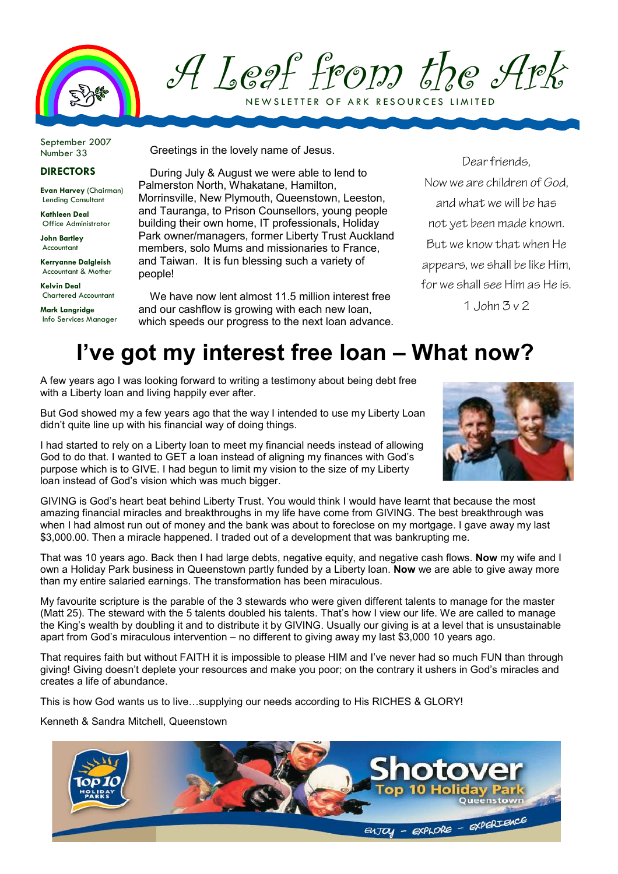

A Leaf from the Ark NEW SLETTER OF ARK RESOURCES LIMITED

September 2007 Number 33

## DIRECTORS

Evan Harvey (Chairman) Lending Consultant

Kathleen Deal Office Administrator

John Bartley Accountant

Kerryanne Dalgleish Accountant & Mother

Kelvin Deal Chartered Accountant

Mark Langridge Info Services Manager Greetings in the lovely name of Jesus.

During July & August we were able to lend to Palmerston North, Whakatane, Hamilton, Morrinsville, New Plymouth, Queenstown, Leeston, and Tauranga, to Prison Counsellors, young people building their own home, IT professionals, Holiday Park owner/managers, former Liberty Trust Auckland members, solo Mums and missionaries to France, and Taiwan. It is fun blessing such a variety of people!

We have now lent almost 11.5 million interest free and our cashflow is growing with each new loan, which speeds our progress to the next loan advance.

Dear friends, Now we are children of God, and what we will be has not yet been made known. But we know that when He appears, we shall be like Him, for we shall see Him as He is. 1.  $\lambda$ lohn  $\lambda$  v 2

## I've got my interest free loan – What now?

A few years ago I was looking forward to writing a testimony about being debt free with a Liberty loan and living happily ever after.

But God showed my a few years ago that the way I intended to use my Liberty Loan didn't quite line up with his financial way of doing things.

I had started to rely on a Liberty loan to meet my financial needs instead of allowing God to do that. I wanted to GET a loan instead of aligning my finances with God's purpose which is to GIVE. I had begun to limit my vision to the size of my Liberty loan instead of God's vision which was much bigger.



GIVING is God's heart beat behind Liberty Trust. You would think I would have learnt that because the most amazing financial miracles and breakthroughs in my life have come from GIVING. The best breakthrough was when I had almost run out of money and the bank was about to foreclose on my mortgage. I gave away my last \$3,000.00. Then a miracle happened. I traded out of a development that was bankrupting me.

That was 10 years ago. Back then I had large debts, negative equity, and negative cash flows. Now my wife and I own a Holiday Park business in Queenstown partly funded by a Liberty loan. Now we are able to give away more than my entire salaried earnings. The transformation has been miraculous.

My favourite scripture is the parable of the 3 stewards who were given different talents to manage for the master (Matt 25). The steward with the 5 talents doubled his talents. That's how I view our life. We are called to manage the King's wealth by doubling it and to distribute it by GIVING. Usually our giving is at a level that is unsustainable apart from God's miraculous intervention – no different to giving away my last \$3,000 10 years ago.

That requires faith but without FAITH it is impossible to please HIM and I've never had so much FUN than through giving! Giving doesn't deplete your resources and make you poor; on the contrary it ushers in God's miracles and creates a life of abundance.

This is how God wants us to live…supplying our needs according to His RICHES & GLORY!

Kenneth & Sandra Mitchell, Queenstown